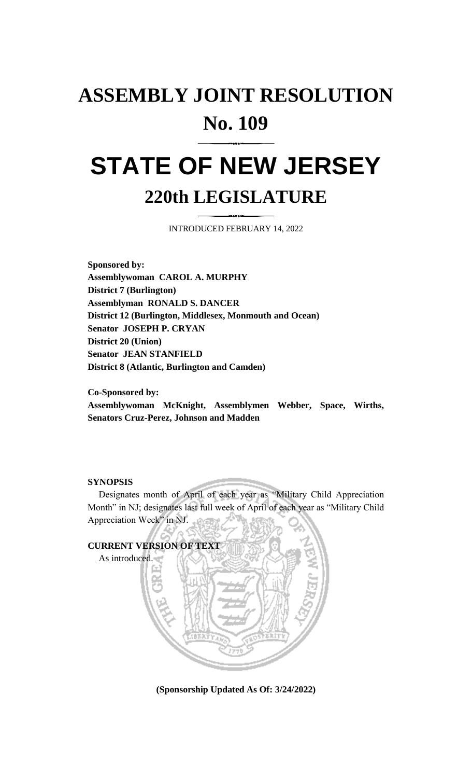## **ASSEMBLY JOINT RESOLUTION No. 109**

## **STATE OF NEW JERSEY 220th LEGISLATURE**

INTRODUCED FEBRUARY 14, 2022

**Sponsored by: Assemblywoman CAROL A. MURPHY District 7 (Burlington) Assemblyman RONALD S. DANCER District 12 (Burlington, Middlesex, Monmouth and Ocean) Senator JOSEPH P. CRYAN District 20 (Union) Senator JEAN STANFIELD District 8 (Atlantic, Burlington and Camden)**

**Co-Sponsored by: Assemblywoman McKnight, Assemblymen Webber, Space, Wirths, Senators Cruz-Perez, Johnson and Madden**

## **SYNOPSIS**

Designates month of April of each year as "Military Child Appreciation Month" in NJ; designates last full week of April of each year as "Military Child Appreciation Week" in NJ.



**(Sponsorship Updated As Of: 3/24/2022)**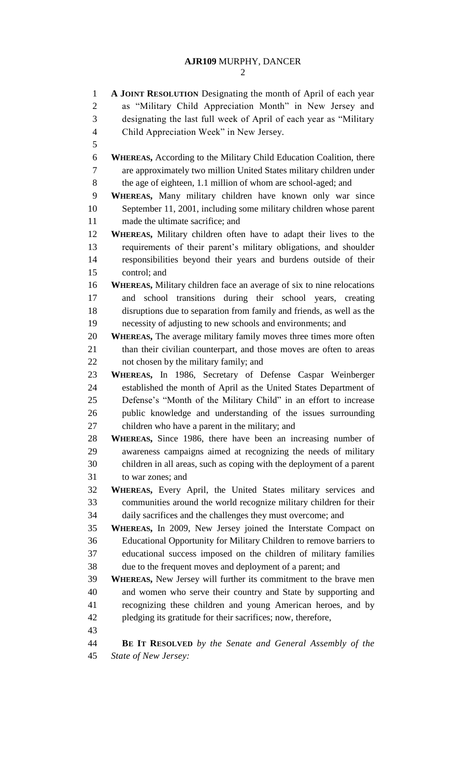**A JOINT RESOLUTION** Designating the month of April of each year as "Military Child Appreciation Month" in New Jersey and designating the last full week of April of each year as "Military Child Appreciation Week" in New Jersey. **WHEREAS,** According to the Military Child Education Coalition, there are approximately two million United States military children under the age of eighteen, 1.1 million of whom are school-aged; and **WHEREAS,** Many military children have known only war since September 11, 2001, including some military children whose parent made the ultimate sacrifice; and **WHEREAS,** Military children often have to adapt their lives to the requirements of their parent's military obligations, and shoulder responsibilities beyond their years and burdens outside of their control; and **WHEREAS,** Military children face an average of six to nine relocations and school transitions during their school years, creating disruptions due to separation from family and friends, as well as the necessity of adjusting to new schools and environments; and **WHEREAS,** The average military family moves three times more often 21 than their civilian counterpart, and those moves are often to areas not chosen by the military family; and **WHEREAS,** In 1986, Secretary of Defense Caspar Weinberger established the month of April as the United States Department of Defense's "Month of the Military Child" in an effort to increase public knowledge and understanding of the issues surrounding children who have a parent in the military; and **WHEREAS,** Since 1986, there have been an increasing number of awareness campaigns aimed at recognizing the needs of military children in all areas, such as coping with the deployment of a parent to war zones; and **WHEREAS,** Every April, the United States military services and communities around the world recognize military children for their daily sacrifices and the challenges they must overcome; and **WHEREAS,** In 2009, New Jersey joined the Interstate Compact on Educational Opportunity for Military Children to remove barriers to educational success imposed on the children of military families due to the frequent moves and deployment of a parent; and **WHEREAS,** New Jersey will further its commitment to the brave men and women who serve their country and State by supporting and recognizing these children and young American heroes, and by pledging its gratitude for their sacrifices; now, therefore, **BE IT RESOLVED** *by the Senate and General Assembly of the State of New Jersey:*